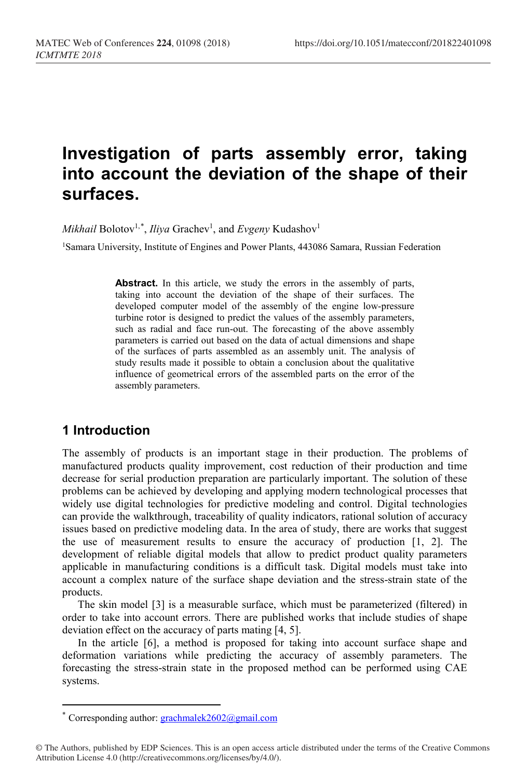# **Investigation of parts assembly error, taking into account the deviation of the shape of their surfaces.**

 $\mathit{Mikhail}$  Bolotov<sup>1,[\\*](#page-0-0)</sup>, *Iliya* Grachev<sup>1</sup>, and *Evgeny* Kudashov<sup>1</sup>

1Samara University, Institute of Engines and Power Plants, 443086 Samara, Russian Federation

Abstract. In this article, we study the errors in the assembly of parts, taking into account the deviation of the shape of their surfaces. The developed computer model of the assembly of the engine low-pressure turbine rotor is designed to predict the values of the assembly parameters, such as radial and face run-out. The forecasting of the above assembly parameters is carried out based on the data of actual dimensions and shape of the surfaces of parts assembled as an assembly unit. The analysis of study results made it possible to obtain a conclusion about the qualitative influence of geometrical errors of the assembled parts on the error of the assembly parameters.

# **1 Introduction**

 $\overline{a}$ 

The assembly of products is an important stage in their production. The problems of manufactured products quality improvement, cost reduction of their production and time decrease for serial production preparation are particularly important. The solution of these problems can be achieved by developing and applying modern technological processes that widely use digital technologies for predictive modeling and control. Digital technologies can provide the walkthrough, traceability of quality indicators, rational solution of accuracy issues based on predictive modeling data. In the area of study, there are works that suggest the use of measurement results to ensure the accuracy of production [1, 2]. The development of reliable digital models that allow to predict product quality parameters applicable in manufacturing conditions is a difficult task. Digital models must take into account a complex nature of the surface shape deviation and the stress-strain state of the products.

The skin model [3] is a measurable surface, which must be parameterized (filtered) in order to take into account errors. There are published works that include studies of shape deviation effect on the accuracy of parts mating [4, 5].

In the article [6], a method is proposed for taking into account surface shape and deformation variations while predicting the accuracy of assembly parameters. The forecasting the stress-strain state in the proposed method can be performed using CAE systems.

<span id="page-0-0"></span>© The Authors, published by EDP Sciences. This is an open access article distributed under the terms of the Creative Commons Attribution License 4.0 (http://creativecommons.org/licenses/by/4.0/).

<sup>\*</sup> Corresponding author:  $grachmalek2602@gmail.com$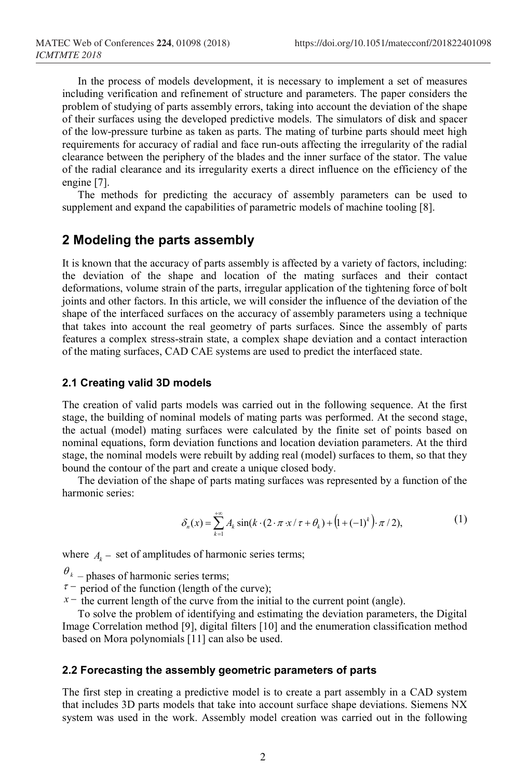In the process of models development, it is necessary to implement a set of measures including verification and refinement of structure and parameters. The paper considers the problem of studying of parts assembly errors, taking into account the deviation of the shape of their surfaces using the developed predictive models. The simulators of disk and spacer of the low-pressure turbine as taken as parts. The mating of turbine parts should meet high requirements for accuracy of radial and face run-outs affecting the irregularity of the radial clearance between the periphery of the blades and the inner surface of the stator. The value of the radial clearance and its irregularity exerts a direct influence on the efficiency of the engine [7].

The methods for predicting the accuracy of assembly parameters can be used to supplement and expand the capabilities of parametric models of machine tooling [8].

## **2 Modeling the parts assembly**

It is known that the accuracy of parts assembly is affected by a variety of factors, including: the deviation of the shape and location of the mating surfaces and their contact deformations, volume strain of the parts, irregular application of the tightening force of bolt joints and other factors. In this article, we will consider the influence of the deviation of the shape of the interfaced surfaces on the accuracy of assembly parameters using a technique that takes into account the real geometry of parts surfaces. Since the assembly of parts features a complex stress-strain state, a complex shape deviation and a contact interaction of the mating surfaces, CAD CAE systems are used to predict the interfaced state.

#### **2.1 Creating valid 3D models**

The creation of valid parts models was carried out in the following sequence. At the first stage, the building of nominal models of mating parts was performed. At the second stage, the actual (model) mating surfaces were calculated by the finite set of points based on nominal equations, form deviation functions and location deviation parameters. At the third stage, the nominal models were rebuilt by adding real (model) surfaces to them, so that they bound the contour of the part and create a unique closed body.

The deviation of the shape of parts mating surfaces was represented by a function of the harmonic series:

$$
\delta_n(x) = \sum_{k=1}^{+\infty} A_k \sin(k \cdot (2 \cdot \pi \cdot x / \tau + \theta_k) + (1 + (-1)^k) \cdot \pi / 2),
$$
 (1)

where  $A_k$  – set of amplitudes of harmonic series terms;

- $\frac{\theta_k}{\tau}$  phases of harmonic series terms;<br> $\tau$  period of the function (length of the curve);
- $x<sup>-</sup>$  the current length of the curve from the initial to the current point (angle).

To solve the problem of identifying and estimating the deviation parameters, the Digital Image Correlation method [9], digital filters [10] and the enumeration classification method based on Mora polynomials [11] can also be used.

#### **2.2 Forecasting the assembly geometric parameters of parts**

The first step in creating a predictive model is to create a part assembly in a CAD system that includes 3D parts models that take into account surface shape deviations. Siemens NX system was used in the work. Assembly model creation was carried out in the following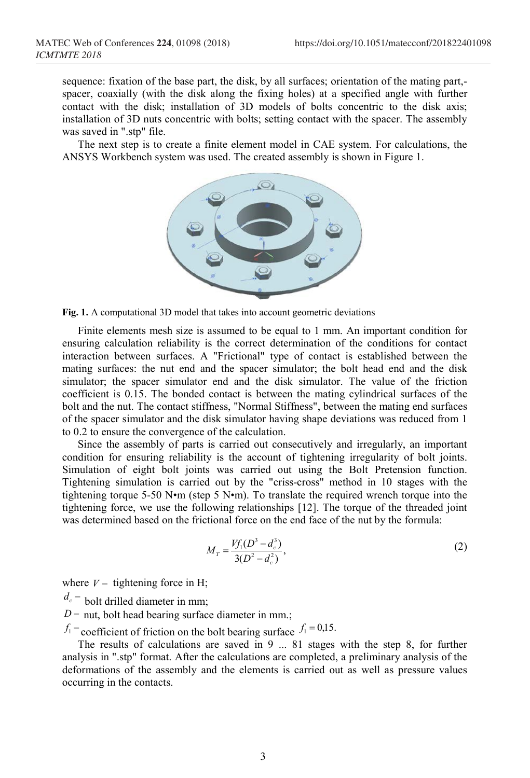sequence: fixation of the base part, the disk, by all surfaces; orientation of the mating part, spacer, coaxially (with the disk along the fixing holes) at a specified angle with further contact with the disk; installation of 3D models of bolts concentric to the disk axis; installation of 3D nuts concentric with bolts; setting contact with the spacer. The assembly was saved in ".stp" file.

The next step is to create a finite element model in CAE system. For calculations, the ANSYS Workbench system was used. The created assembly is shown in Figure 1.



**Fig. 1.** A computational 3D model that takes into account geometric deviations

Finite elements mesh size is assumed to be equal to 1 mm. An important condition for ensuring calculation reliability is the correct determination of the conditions for contact interaction between surfaces. A "Frictional" type of contact is established between the mating surfaces: the nut end and the spacer simulator; the bolt head end and the disk simulator; the spacer simulator end and the disk simulator. The value of the friction coefficient is 0.15. The bonded contact is between the mating cylindrical surfaces of the bolt and the nut. The contact stiffness, "Normal Stiffness", between the mating end surfaces of the spacer simulator and the disk simulator having shape deviations was reduced from 1 to 0.2 to ensure the convergence of the calculation.

Since the assembly of parts is carried out consecutively and irregularly, an important condition for ensuring reliability is the account of tightening irregularity of bolt joints. Simulation of eight bolt joints was carried out using the Bolt Pretension function. Tightening simulation is carried out by the "criss-cross" method in 10 stages with the tightening torque 5-50 N•m (step 5 N•m). To translate the required wrench torque into the tightening force, we use the following relationships [12]. The torque of the threaded joint was determined based on the frictional force on the end face of the nut by the formula:

$$
M_T = \frac{Vf_1(D^3 - d_c^3)}{3(D^2 - d_c^2)},
$$
\t(2)

where  $V -$  tightening force in H;

 $d_c$  – bolt drilled diameter in mm;

*D* − nut, bolt head bearing surface diameter in mm.;

 $f_1$  – coefficient of friction on the bolt bearing surface  $f_1 = 0.15$ .

The results of calculations are saved in 9 ... 81 stages with the step 8, for further analysis in ".stp" format. After the calculations are completed, a preliminary analysis of the deformations of the assembly and the elements is carried out as well as pressure values occurring in the contacts.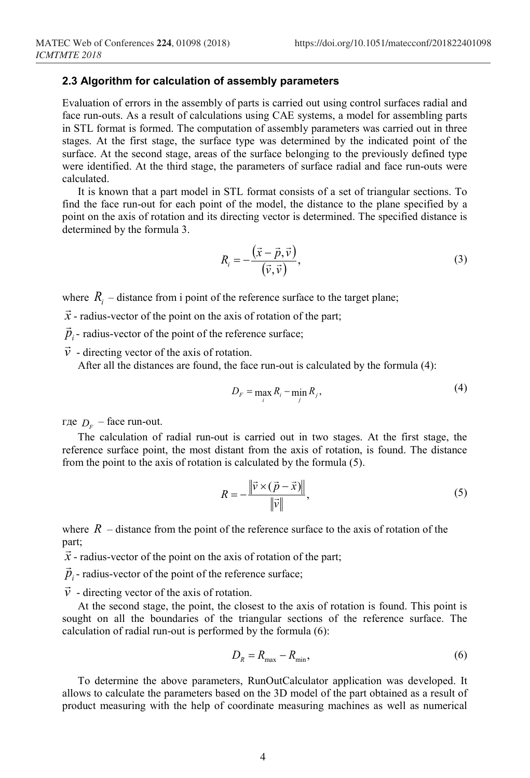#### **2.3 Algorithm for calculation of assembly parameters**

Evaluation of errors in the assembly of parts is carried out using control surfaces radial and face run-outs. As a result of calculations using CAE systems, a model for assembling parts in STL format is formed. The computation of assembly parameters was carried out in three stages. At the first stage, the surface type was determined by the indicated point of the surface. At the second stage, areas of the surface belonging to the previously defined type were identified. At the third stage, the parameters of surface radial and face run-outs were calculated.

It is known that a part model in STL format consists of a set of triangular sections. To find the face run-out for each point of the model, the distance to the plane specified by a point on the axis of rotation and its directing vector is determined. The specified distance is determined by the formula 3.

$$
R_i = -\frac{(\vec{x} - \vec{p}, \vec{v})}{(\vec{v}, \vec{v})},\tag{3}
$$

where  $R_i$  – distance from i point of the reference surface to the target plane;

 $\vec{x}$  - radius-vector of the point on the axis of rotation of the part;

 $\vec{p}_i$  - radius-vector of the point of the reference surface;

 $\vec{v}$  - directing vector of the axis of rotation.

After all the distances are found, the face run-out is calculated by the formula (4):

$$
D_F = \max_i R_i - \min_j R_j,\tag{4}
$$

где  $D_F$  – face run-out.

The calculation of radial run-out is carried out in two stages. At the first stage, the reference surface point, the most distant from the axis of rotation, is found. The distance from the point to the axis of rotation is calculated by the formula (5).

$$
R = -\frac{\left\| \vec{v} \times (\vec{p} - \vec{x}) \right\|}{\left\| \vec{v} \right\|},\tag{5}
$$

where  $R$  – distance from the point of the reference surface to the axis of rotation of the part;

 $\vec{x}$  - radius-vector of the point on the axis of rotation of the part;

 $\vec{p}_i$  - radius-vector of the point of the reference surface;

 $\vec{v}$  - directing vector of the axis of rotation.

At the second stage, the point, the closest to the axis of rotation is found. This point is sought on all the boundaries of the triangular sections of the reference surface. The calculation of radial run-out is performed by the formula (6):

$$
D_R = R_{\text{max}} - R_{\text{min}},\tag{6}
$$

To determine the above parameters, RunOutCalculator application was developed. It allows to calculate the parameters based on the 3D model of the part obtained as a result of product measuring with the help of coordinate measuring machines as well as numerical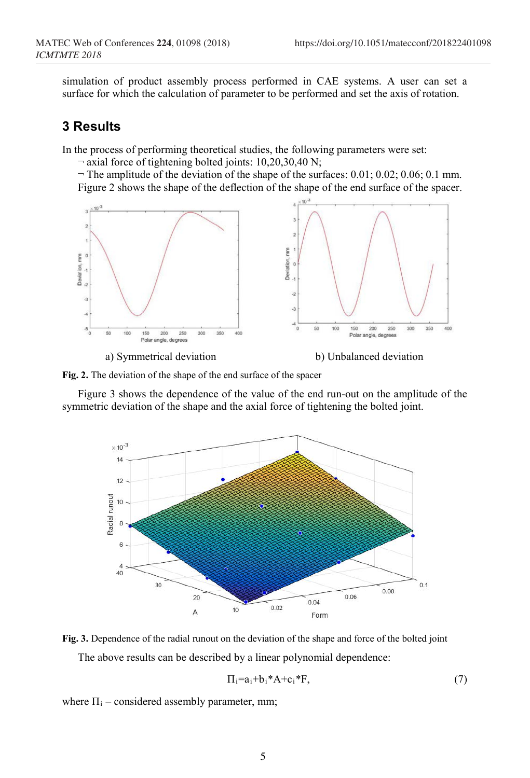simulation of product assembly process performed in CAE systems. A user can set a surface for which the calculation of parameter to be performed and set the axis of rotation.

### **3 Results**

In the process of performing theoretical studies, the following parameters were set:

¬ axial force of tightening bolted joints: 10,20,30,40 N;

 $\neg$  The amplitude of the deviation of the shape of the surfaces: 0.01; 0.02; 0.06; 0.1 mm. Figure 2 shows the shape of the deflection of the shape of the end surface of the spacer.



a) Symmetrical deviation b) Unbalanced deviation

**Fig. 2.** The deviation of the shape of the end surface of the spacer

Figure 3 shows the dependence of the value of the end run-out on the amplitude of the symmetric deviation of the shape and the axial force of tightening the bolted joint.





 $\Pi_i=a_i+b_i*A+c_i*F,$  (7)

where  $\Pi_i$  – considered assembly parameter, mm;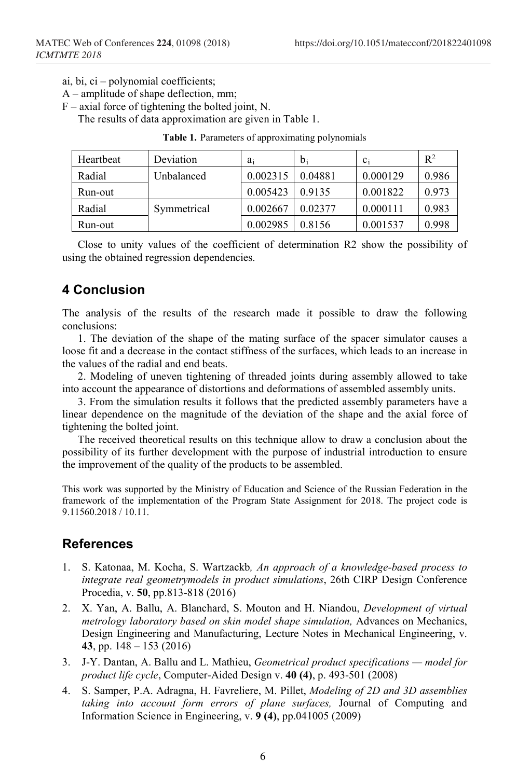- ai, bi, ci polynomial coefficients;
- A amplitude of shape deflection, mm;
- $F -$  axial force of tightening the bolted joint, N.

The results of data approximation are given in Table 1.

| Heartbeat | Deviation   | ai       | $b_i$   | $c_i$    | $R^2$ |
|-----------|-------------|----------|---------|----------|-------|
| Radial    | Unbalanced  | 0.002315 | 0.04881 | 0.000129 | 0.986 |
| Run-out   |             | 0.005423 | 0.9135  | 0.001822 | 0.973 |
| Radial    | Symmetrical | 0.002667 | 0.02377 | 0.000111 | 0.983 |
| Run-out   |             | 0.002985 | 0.8156  | 0.001537 | 0.998 |

Close to unity values of the coefficient of determination R2 show the possibility of using the obtained regression dependencies.

# **4 Conclusion**

The analysis of the results of the research made it possible to draw the following conclusions:

1. The deviation of the shape of the mating surface of the spacer simulator causes a loose fit and a decrease in the contact stiffness of the surfaces, which leads to an increase in the values of the radial and end beats.

2. Modeling of uneven tightening of threaded joints during assembly allowed to take into account the appearance of distortions and deformations of assembled assembly units.

3. From the simulation results it follows that the predicted assembly parameters have a linear dependence on the magnitude of the deviation of the shape and the axial force of tightening the bolted joint.

The received theoretical results on this technique allow to draw a conclusion about the possibility of its further development with the purpose of industrial introduction to ensure the improvement of the quality of the products to be assembled.

This work was supported by the Ministry of Education and Science of the Russian Federation in the framework of the implementation of the Program State Assignment for 2018. The project code is 9.11560.2018 / 10.11.

# **References**

- 1. S. Katonaa, M. Kocha, S. Wartzackb*, An approach of a knowledge-based process to integrate real geometrymodels in product simulations*, 26th CIRP Design Conference Procedia, v. **50**, pp.813-818 (2016)
- 2. X. Yan, A. Ballu, A. Blanchard, S. Mouton and H. Niandou, *Development of virtual metrology laboratory based on skin model shape simulation,* Advances on Mechanics, Design Engineering and Manufacturing, Lecture Notes in Mechanical Engineering, v. **43**, pp. 148 – 153 (2016)
- 3. J-Y. Dantan, A. Ballu and L. Mathieu, *Geometrical product specifications — model for product life cycle*, Computer-Aided Design v. **40 (4)**, p. 493-501 (2008)
- 4. S. Samper, P.A. Adragna, H. Favreliere, M. Pillet, *Modeling of 2D and 3D assemblies taking into account form errors of plane surfaces,* Journal of Computing and Information Science in Engineering, v. **9 (4)**, pp.041005 (2009)